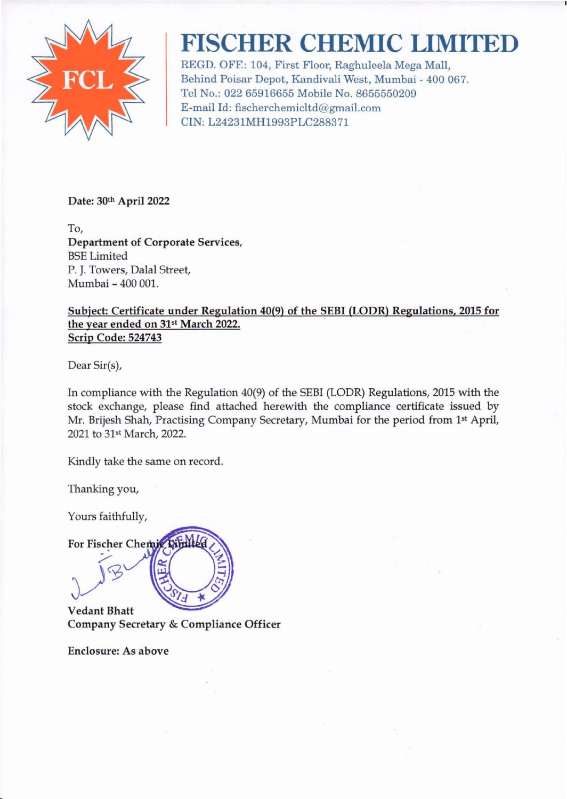

# **FISCHER CHEMIC LIMITED**

REGD. OFF.: 104, First Floor, Raghuleela Mega Mall, Behind Poisar Depot, Kandivali West, Mumbai - 400 067. Tel No.: 022 65916655 Mobile No. 8655550209 E-mail Id: fischerchemicltd@gmail.com CIN: L24231MH1993PLC288371

Date: 30th April 2022

To, Department of Corporate Services, BSE Limited P. J. Towers, Dalal Street, Mumbai - 400 001.

### Subject: Certificate under Regulation 40(9) of the SEBI (LODR) Regulations, 2015 for the year ended on 31st March 2022. Scrip Code: 524743

Dear Sir(s),

In compliance with the Regulation 40(9) of the SEBI (LODR) Regulations, 2015 with the stock exchange, please find attached herewith the compliance certificate issued by Mr. Brijesh Shah, Practising Company Secretary, Mumbai for the period from 1st April, 2021 to31st March, 2022.

Kindly take the same on record.

Thanking you,

Yours faithfully,

For Fischer Chemic

Vedant Bhatt Company Secretary & Compliance Officer

Enclosure: As above